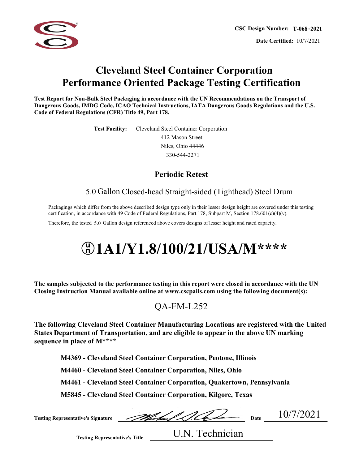

# Cleveland Steel Container Corporation Performance Oriented Package Testing Certification

Test Report for Non-Bulk Steel Packaging in accordance with the UN Recommendations on the Transport of Dangerous Goods, IMDG Code, ICAO Technical Instructions, IATA Dangerous Goods Regulations and the U.S. Code of Federal Regulations (CFR) Title 49, Part 178. **CHEVERATIG STEET CONTRAINET COP DOTATION**<br>
Report for Non-Bulk Steel Packaging in accordance with the UN Recommendations on the Transport of<br>
Groots, IMDC Code, ICAO Technical Instructions, IATA Dangerous Goods Regulatio

Test Facility: Cleveland Steel Container Corporation 412 Mason Street Niles, Ohio 44446 330-544-2271

## Periodic Retest

## 5.0 Gallon Closed-head Straight-sided (Tighthead) Steel Drum

Packagings which differ from the above described design type only in their lesser design height are covered under this testing certification, in accordance with 49 Code of Federal Regulations, Part 178, Subpart M, Section 178.601(c)(4)(v).

# $\binom{n}{n}$ 1A1/Y1.8/100/21/USA/M\*\*\*\*

The samples subjected to the performance testing in this report were closed in accordance with the UN Closing Instruction Manual available online at www.cscpails.com using the following document(s):

## QA-FM-L252

The following Cleveland Steel Container Manufacturing Locations are registered with the United States Department of Transportation, and are eligible to appear in the above UN marking sequence in place of M\*\*\*\*

M4369 - Cleveland Steel Container Corporation, Peotone, Illinois

M4460 - Cleveland Steel Container Corporation, Niles, Ohio

M4461 - Cleveland Steel Container Corporation, Quakertown, Pennsylvania

M5845 - Cleveland Steel Container Corporation, Kilgore, Texas

Testing Representative's Signature

 $_{\text{Date}}$   $10/7/2021$ 

Testing Representative's Title

U.N. Technician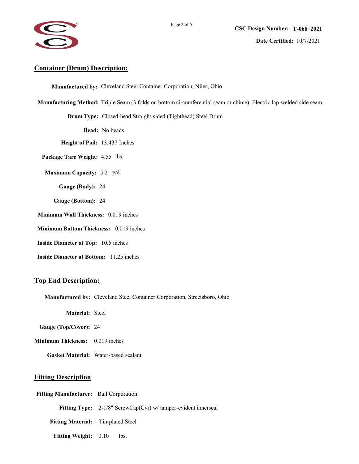

#### Container (Drum) Description:

Manufactured by: Cleveland Steel Container Corporation, Niles, Ohio

Manufacturing Method: Triple Seam (3 folds on bottom circumferential seam or chime). Electric lap-welded side seam.

Drum Type: Closed-head Straight-sided (Tighthead) Steel Drum

Bead: No beads

Height of Pail: 13.437 Inches

Package Tare Weight: 4.55 lbs.

Maximum Capacity: 5.2 gal.

Gauge (Body): 24

Gauge (Bottom): 24

Minimum Wall Thickness: 0.019 inches

Minimum Bottom Thickness: 0.019 inches

Inside Diameter at Top: 10.5 inches

Inside Diameter at Bottom: 11.25 inches

#### Top End Description:

Manufactured by: Cleveland Steel Container Corporation, Streetsboro, Ohio

Material: Steel

Gauge (Top/Cover): 24

Minimum Thickness: 0.019 inches

Gasket Material: Water-based sealant

#### Fitting Description

Fitting Manufacturer: Ball Corporation

Fitting Type: 2-1/8" ScrewCap(Cvr) w/ tamper-evident innerseal

Fitting Material: Tin-plated Steel

Fitting Weight: 0.10 lbs.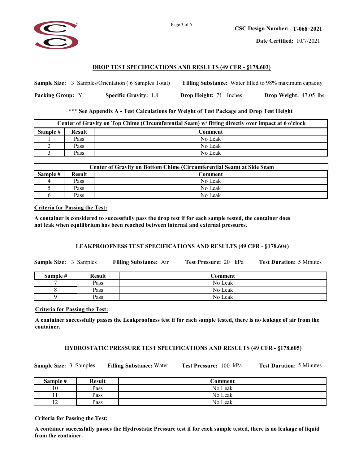

#### DROP TEST SPECIFICATIONS AND RESULTS (49 CFR - §178.603)

Sample Size: 3 Samples/Orientation (6 Samples Total) Filling Substance: Water filled to 98% maximum capacity

Packing Group: Y Specific Gravity: 1.8 Drop Height: 71 Inches Drop Weight: 47.05 lbs. Drop Weight: 47.05 lbs.

\*\*\* See Appendix A - Test Calculations for Weight of Test Package and Drop Test Height

| Center of Gravity on Top Chime (Circumferential Seam) w/ fitting directly over impact at 6 o'clock |        |           |  |
|----------------------------------------------------------------------------------------------------|--------|-----------|--|
| Sample #                                                                                           | Result | domment : |  |
|                                                                                                    | Pass   | No Leak   |  |
|                                                                                                    | Pass   | No Leak   |  |
|                                                                                                    | Pass   | No Leak   |  |

| Center of Gravity on Bottom Chime (Circumferential Seam) at Side Seam |               |                |  |
|-----------------------------------------------------------------------|---------------|----------------|--|
| Sample #                                                              | <b>Result</b> | <b>Comment</b> |  |
|                                                                       | Pass          | No Leak        |  |
|                                                                       | Pass          | No Leak        |  |
|                                                                       | Pass          | No Leak        |  |

#### Criteria for Passing the Test:

#### LEAKPROOFNESS TEST SPECIFICATIONS AND RESULTS (49 CFR - §178.604)

|                               |               | A container is considered to successfully pass the drop test if for each sample tested, the container does<br>not leak when equilibrium has been reached between internal and external pressures. |                                 |  |
|-------------------------------|---------------|---------------------------------------------------------------------------------------------------------------------------------------------------------------------------------------------------|---------------------------------|--|
|                               |               | <b>LEAKPROOFNESS TEST SPECIFICATIONS AND RESULTS (49 CFR - §178.604)</b>                                                                                                                          |                                 |  |
| <b>Sample Size: 3 Samples</b> |               | Test Pressure: 20 kPa<br><b>Filling Substance:</b> Air                                                                                                                                            | <b>Test Duration: 5 Minutes</b> |  |
| Sample #                      | <b>Result</b> | <b>Comment</b>                                                                                                                                                                                    |                                 |  |
|                               | Pass          | No Leak                                                                                                                                                                                           |                                 |  |
| 8                             | Pass          | No Leak                                                                                                                                                                                           |                                 |  |
| 9                             | Pass          | No Leak                                                                                                                                                                                           |                                 |  |
| container.                    |               | A container successfully passes the Leakproofness test if for each sample tested, there is no leakage of air from the                                                                             |                                 |  |
|                               |               | <b>HYDROSTATIC PRESSURE TEST SPECIFICATIONS AND RESULTS (49 CFR - §178.605)</b>                                                                                                                   |                                 |  |
| <b>Sample Size: 3 Samples</b> |               | Test Pressure: 100 kPa<br><b>Filling Substance: Water</b>                                                                                                                                         | <b>Test Duration: 5 Minutes</b> |  |
| Sample #                      | <b>Result</b> | <b>Comment</b>                                                                                                                                                                                    |                                 |  |
| 10                            | Pass          | No Leak                                                                                                                                                                                           |                                 |  |
| 11                            | Pass          | No Leak                                                                                                                                                                                           |                                 |  |
| $\overline{12}$               | Pass          | No Leak                                                                                                                                                                                           |                                 |  |

#### Criteria for Passing the Test:

#### HYDROSTATIC PRESSURE TEST SPECIFICATIONS AND RESULTS (49 CFR - §178.605)

| Sample #                 | <b>Result</b> | Comment |
|--------------------------|---------------|---------|
| 10                       | Pass          | No Leak |
| . .                      | Pass          | No Leak |
| $\sim$<br>$\overline{1}$ | Pass          | No Leak |

#### Criteria for Passing the Test:

A container successfully passes the Hydrostatic Pressure test if for each sample tested, there is no leakage of liquid from the container.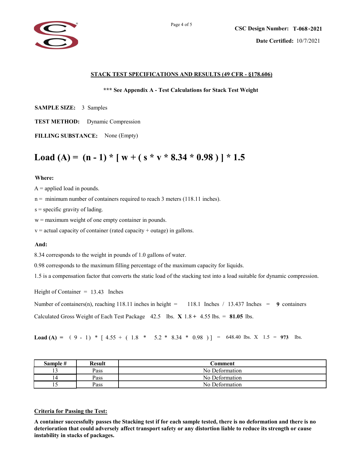

#### STACK TEST SPECIFICATIONS AND RESULTS (49 CFR - §178.606)

#### \*\*\* See Appendix A - Test Calculations for Stack Test Weight

SAMPLE SIZE: 3 Samples

- TEST METHOD: Dynamic Compression
- FILLING SUBSTANCE: None (Empty)

## Load (A) =  $(n - 1) * [w + (s * v * 8.34 * 0.98)] * 1.5$

#### Where:

#### And:

Calculated Gross Weight of Each Test Package  $42.5$  lbs.  $X$   $1.8 + 4.55$  lbs. = 81.05 lbs. Number of containers(n), reaching 118.11 inches in height =  $118.1$  Inches  $\binom{13.437}{13.437}$  Inches = 9 containers **\* 0.98 )** | **\* 1.5**<br>
18.11 inches).<br>
ns.<br>
ns.<br>
ns.<br>  $\frac{118.1 \text{ inches}}{13.437 \text{ inches}} = 9 \text{ containers}$ <br>  $\frac{118.1 \text{ inches} / 13.437 \text{ inches}}{13.437 \text{ inches}} = 9 \text{ containers}$ <br>  $\frac{118.1 \text{ inches} / 13.437 \text{ inches}}{13.437 \text{ inches}} = 9 \text{ containers}$ <br>  $\frac{118.1 \text{ inches} / 13.437 \text{ inches}}{13.$ 

| $A =$ applied load in pounds.        |               |                                                                                                                               |  |
|--------------------------------------|---------------|-------------------------------------------------------------------------------------------------------------------------------|--|
|                                      |               | $n =$ minimum number of containers required to reach 3 meters (118.11 inches).                                                |  |
| $s$ = specific gravity of lading.    |               |                                                                                                                               |  |
|                                      |               | $w =$ maximum weight of one empty container in pounds.                                                                        |  |
|                                      |               | $v =$ actual capacity of container (rated capacity + outage) in gallons.                                                      |  |
| And:                                 |               |                                                                                                                               |  |
|                                      |               | 8.34 corresponds to the weight in pounds of 1.0 gallons of water.                                                             |  |
|                                      |               | 0.98 corresponds to the maximum filling percentage of the maximum capacity for liquids.                                       |  |
|                                      |               | 1.5 is a compensation factor that converts the static load of the stacking test into a load suitable for dynamic compression. |  |
| Height of Container $= 13.43$ Inches |               |                                                                                                                               |  |
|                                      |               | Number of containers(n), reaching 118.11 inches in height = 118.1 Inches / 13.437 Inches = 9 containers                       |  |
|                                      |               | Calculated Gross Weight of Each Test Package $42.5$ lbs. $\mathbf{X}$ 1.8 + 4.55 lbs. = 81.05 lbs.                            |  |
|                                      |               | <b>Load (A)</b> = $(9 - 1) * [4.55 + (1.8 * 5.2 * 8.34 * 0.98)] = 648.40$ lbs. X 1.5 = 973 lbs.                               |  |
| Sample #                             | <b>Result</b> | <b>Comment</b>                                                                                                                |  |
| 13                                   | Pass          | No Deformation                                                                                                                |  |
| 14                                   | Pass          | No Deformation                                                                                                                |  |
| 15                                   | Pass          | No Deformation                                                                                                                |  |

#### Criteria for Passing the Test:

A container successfully passes the Stacking test if for each sample tested, there is no deformation and there is no deterioration that could adversely affect transport safety or any distortion liable to reduce its strength or cause instability in stacks of packages.